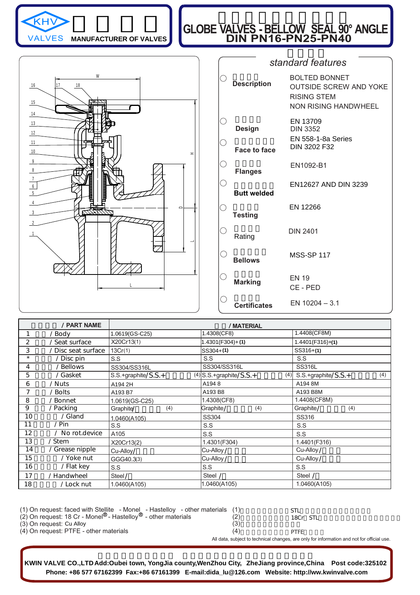

### **MANUFACTURER OF VALVES**

## **GLOBE VALVES - BELLOW SEAL 90° ANGLE DIN PN16-PN25-PN40 Example 12** GLOBE VALVES - BELLOW SEAL 90°



|                     | standard features                                                                                   |
|---------------------|-----------------------------------------------------------------------------------------------------|
| <b>Description</b>  | <b>BOLTED BONNET</b><br><b>OUTSIDE SCREW AND YOKE</b><br><b>RISING STEM</b><br>NON RISING HANDWHEEL |
| <b>Design</b>       | EN 13709<br><b>DIN 3352</b>                                                                         |
| <b>Face to face</b> | <b>EN 558-1-8a Series</b><br>DIN 3202 F32                                                           |
| <b>Flanges</b>      | EN1092-B1                                                                                           |
| <b>Butt welded</b>  | EN12627 AND DIN 3239                                                                                |
| <b>Testing</b>      | EN 12266                                                                                            |
| Rating              | <b>DIN 2401</b>                                                                                     |
| <b>Bellows</b>      | <b>MSS-SP 117</b>                                                                                   |
| <b>Marking</b>      | <b>EN 19</b><br>CE - PED                                                                            |
| <b>Certificates</b> | EN $10204 - 3.1$                                                                                    |

|         | / PART NAME         |                       | /MATERIAL                        |                            |
|---------|---------------------|-----------------------|----------------------------------|----------------------------|
|         | / Body              | 1.0619(GS-C25)        | 1.4308(CF8)                      | 1.4408(CF8M)               |
| 2       | 'Seat surface       | X20Cr13(1)            | 1.4301(F304)+(1)                 | $1.4401(F316)+(1)$         |
| 3       | ' Disc seat surface | 13Cr(1)               | $SS304+ (1)$                     | $SS316+ (1)$               |
| $\star$ | / Disc pin          | S.S                   | S.S                              | S.S                        |
| 4       | / Bellows           | SS304/SS316L          | SS304/SS316L                     | <b>SS316L</b>              |
| 5       | /Gasket             | $S.S.+graphite/S.S.+$ | $(4)$ S.S.+graphite/S.S.+<br>(4) | S.S.+graphite/S.S.+<br>(4) |
| 6       | / Nuts              | A194 2H               | A1948                            | A194 8M                    |
|         | / Bolts             | A193 B7               | A193 B8                          | A193 B8M                   |
| 8       | ' Bonnet            | 1.0619(GS-C25)        | 1.4308(CF8)                      | 1.4408(CF8M)               |
| 9       | / Packing           | Graphite/<br>(4)      | Graphite/<br>(4)                 | Graphite/<br>(4)           |
| 10      | / Gland             | 1.0460(A105)          | <b>SS304</b>                     | SS316                      |
| 11      | $/ P$ in            | S.S                   | S.S                              | S.S                        |
| 12      | / No rot.device     | A105                  | S.S                              | S.S                        |
| 13      | / Stem              | X20Cr13(2)            | 1.4301(F304)                     | 1.4401(F316)               |
| 14      | / Grease nipple     | Cu-Alloy/             | Cu-Alloy /                       | Cu-Alloy /                 |
| 15      | / Yoke nut          | GGG40.3(3)            | Cu-Alloy /                       | Cu-Alloy /                 |
| 16      | / Flat key          | S.S                   | S.S                              | S.S                        |
| 17      | / Handwheel         | Steel /               | Steel /                          | Steel /                    |
| 18      | / Lock nut          | 1.0460(A105)          | 1.0460(A105)                     | 1.0460(A105)               |

| $(1)$ On request: faced with Stellite - Monel - Hastelloy - other materials $(1)$<br>(2) On request: 18 Cr - Monel <sup>®</sup> - Hastelloy <sup>®</sup> - other materials | (2)                                                                                        | STL<br>18Cr STL |  |  |  |  |  |
|----------------------------------------------------------------------------------------------------------------------------------------------------------------------------|--------------------------------------------------------------------------------------------|-----------------|--|--|--|--|--|
| (3) On request: Cu Alloy                                                                                                                                                   | (3)                                                                                        |                 |  |  |  |  |  |
| (4) On request: PTFE - other materials                                                                                                                                     | (4)                                                                                        | <b>PTFF</b>     |  |  |  |  |  |
|                                                                                                                                                                            | All data, subject to technical changes, are only for information and not for official use. |                 |  |  |  |  |  |

**Phone: +86 577 67162399 Fax:+86 67161399 E-mail:dida\_lu@126.com Website: http://ww.kwinvalve.com KWIN VALVE CO.,LTD Add:Oubei town, YongJia county,WenZhou City, ZheJiang province,China Post code:325102**